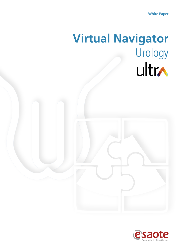White Paper

# **Virtual Navigator** Urology<br>**ultra**

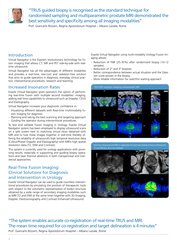

"TRUS guided biopsy is recognised as the standard technique for randomised sampling and multiparametric prostate MRI demonstrated the best sensitivity and specificity among all imaging modalities"

Prof. Giancarlo Bizzarri, Regina Apostolorum Hospital – Albano Laziale, Rome

### **Introduction**

Virtual Navigator is the Esaote's revolutionary technology for fusion imaging that allows CT, MR and PET side-by-side with realtime ultrasound.

Virtual Navigator has all the advantages of different modalities and provides a real-time, low-cost and radiation-free solution that aims to guide operators in diagnosis, everyday clinical practice, interventional procedures, research and teaching.

### Increased Insonation Rates

Esaote Virtual Navigator gives operators the option of performing real-time fusion with multiple second modalities' imaging, adding real-time capabilities to ultrasound such as Doppler, CEUS and Elastography.

Virtual Navigator increases your diagnostic confidence in:

- Visualizing different datasets with Real-time multimodality fusion imaging for diagnosis
- Planning and taking the best scanning and targeting approach
- Guiding the operator during interventional procedures

To test and validate fusion imaging in Urology, Esaote Virtual Navigator system has been employed to display ultrasound scans on a split screen next to matching virtual slices obtained with MRI and to fuse these images together in real-time thereby offering the reliability of ultrasound's high temporal resolution data (Colour/Power Doppler and Elastography) with MRI's high spatial resolution data (T2, DWI and Contrast).

This system is currently used for urology applications with promising results, especially in supporting and guiding biopsy operations and laser thermal ablations in both transperineal and transrectal approaches.

### Real-Time Fusion Imaging: Clinical Solutions for Diagnosis and Intervention in Urology

Esaote Virtual Navigator can be used to guide countless interventional procedures by simulating the position of therapeutic tools with respect to the volumetric representation of body's structure obtained by a wide range of secondary imaging modalities such as MRI (T2 and DWI at the same time) together with 3D Imaging, Doppler, Elastosonography and Contrast Enhanced Ultrasound.

Esaote Virtual Navigator using multi-modality Urology Fusion Imaging allows:

- Reduction of FNR (25-35%) after randomized biopsy (10-12 samples)
- Reduction of 2° and 3° biopsies
- Better correspondence between actual situation and the Gleason score proven in the biopsy
- More reliable information for watchful waiting approach



Real-time ultrasound and MRI co-registration for improved visibility of lesions (Ultrasound, T2 and Diffusion all in one window)



### "The system enables accurate co-registration of real-time TRUS and MRI. The mean time required for co-registration and target delineation is 4 minutes" Prof. Giancarlo Bizzarri, Regina Apostolorum Hospital – Albano Laziale, Rome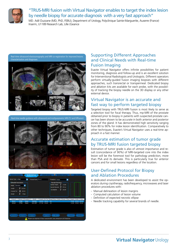

# "TRUS-MRI fusion with Virtual Navigator enables to target the index lesion by needle biopsy for accurate diagnosis with a very fast approach"

MD. Adil Ouzzane (MD, PhD, FEBU), Department of Urology, Polyclinique Sainte-Marguerite, Auxerre (France) Inserm, U1189 Research Lab, Lille (Geance

Real-time ultrasound elastosonography and MRI co-registration for improved lesions characterisation and diagnoses



Real-time needle guidance with ultrasound and multiparametric MRI (T2 and Diffusion)





# Supporting Different Approaches and Clinical Needs with Real-time Fusion Imaging

Esaote Virtual Navigator offers infinite possibilities for patient monitoring, diagnosis and follow-up and is an excellent solution for Interventional Radiologists and Urologists. Different operators perform virtually-guided fusion imaging biopsies with different approaches, such transrectal or transperineal. Dedicated biopsy and ablation kits are available for each probe, with the possibility of tracking the biopsy needle on the 3D display or any other external device.

# Virtual Navigator is an accurate and fast way to perform targeted biopsy

Targeted biopsy with TRUS-MRI fusion is most likely to serve as a selection tool for focal therapy. Thus, mp-MRI of the prostate obtained prior to biopsy in patients with suspected prostate cancer has been shown to be accurate in both anterior and posterior zones of the gland. It has demonstrated high sensitivity ranging from 80 to 90% for index lesion identification. Comparatively to other techniques, Esaote's Virtual Navigator uses a real-time approach in a fast manner.

### Accurate estimation of tumor grade by TRUS-MRI fusion targeted biopsy

Estimation of tumor grade is also of utmost importance and result (concordance of 90%) of MRI-targeted core into the index lesion will be the foremost tool for pathology prediction, more than PSA and its derivate. This is particularly true for anterior cancers and for small lesions regardless of the location.

# User-Defined Protocol for Biopsy and Ablation Procedures

A dedicated environment has been developed to assist the operators during cryotherapy, radiofrequency, microwaves and laser ablation procedures with:

- Manual delineation of lesion margins
- Computed calculation of lesion volume
- Definition of expected necrotic ellipse
- Needle tracking capability for several brands of needle.